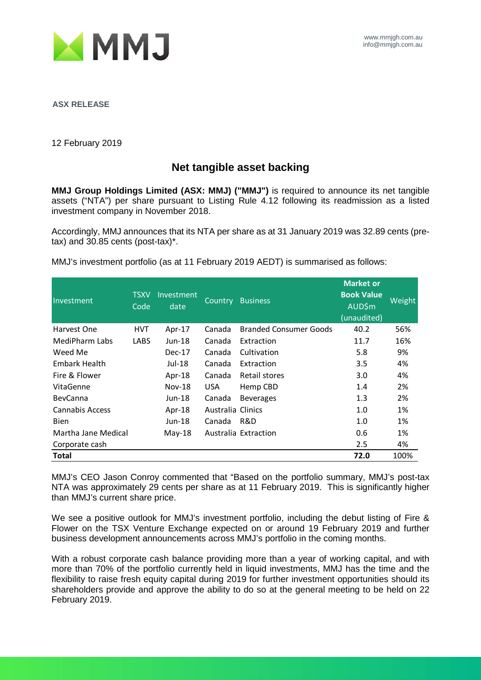

**ASX RELEASE**

12 February 2019

## **Net tangible asset backing**

**MMJ Group Holdings Limited (ASX: MMJ) ("MMJ")** is required to announce its net tangible assets ("NTA") per share pursuant to Listing Rule 4.12 following its readmission as a listed investment company in November 2018.

Accordingly, MMJ announces that its NTA per share as at 31 January 2019 was 32.89 cents (pretax) and 30.85 cents (post-tax)\*.

MMJ's investment portfolio (as at 11 February 2019 AEDT) is summarised as follows:

| Investment           | <b>TSXV</b><br>Code | Investment<br>date | Country           | <b>Business</b>               | <b>Market or</b><br><b>Book Value</b><br><b>AUD\$m</b><br>(unaudited) | Weight |
|----------------------|---------------------|--------------------|-------------------|-------------------------------|-----------------------------------------------------------------------|--------|
| Harvest One          | <b>HVT</b>          | Apr-17             | Canada            | <b>Branded Consumer Goods</b> | 40.2                                                                  | 56%    |
| MediPharm Labs       | <b>LABS</b>         | $Jun-18$           | Canada            | Extraction                    | 11.7                                                                  | 16%    |
| Weed Me              |                     | $Dec-17$           | Canada            | Cultivation                   | 5.8                                                                   | 9%     |
| <b>Embark Health</b> |                     | Jul-18             | Canada            | Extraction                    | 3.5                                                                   | 4%     |
| Fire & Flower        |                     | Apr-18             | Canada            | Retail stores                 | 3.0                                                                   | 4%     |
| VitaGenne            |                     | <b>Nov-18</b>      | <b>USA</b>        | Hemp CBD                      | 1.4                                                                   | 2%     |
| <b>BevCanna</b>      |                     | Jun-18             | Canada            | <b>Beverages</b>              | 1.3                                                                   | 2%     |
| Cannabis Access      |                     | Apr-18             | Australia Clinics |                               | 1.0                                                                   | 1%     |
| <b>Bien</b>          |                     | Jun-18             | Canada            | R&D                           | 1.0                                                                   | 1%     |
| Martha Jane Medical  |                     | $May-18$           |                   | Australia Extraction          | 0.6                                                                   | 1%     |
| Corporate cash       |                     |                    |                   |                               | 2.5                                                                   | 4%     |
| <b>Total</b>         |                     |                    |                   |                               | 72.0                                                                  | 100%   |

MMJ's CEO Jason Conroy commented that "Based on the portfolio summary, MMJ's post-tax NTA was approximately 29 cents per share as at 11 February 2019. This is significantly higher than MMJ's current share price.

We see a positive outlook for MMJ's investment portfolio, including the debut listing of Fire & Flower on the TSX Venture Exchange expected on or around 19 February 2019 and further business development announcements across MMJ's portfolio in the coming months.

With a robust corporate cash balance providing more than a year of working capital, and with more than 70% of the portfolio currently held in liquid investments, MMJ has the time and the flexibility to raise fresh equity capital during 2019 for further investment opportunities should its shareholders provide and approve the ability to do so at the general meeting to be held on 22 February 2019.